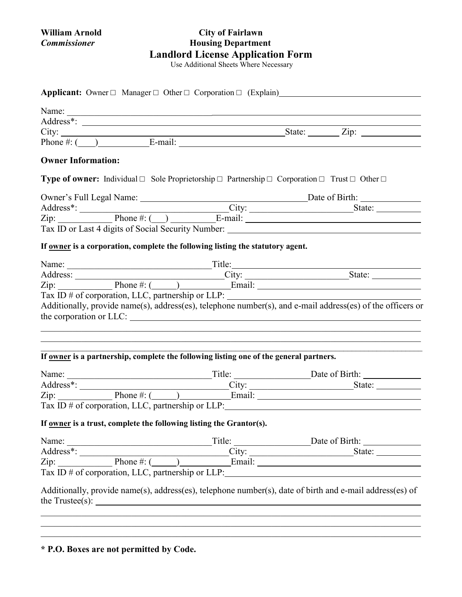# **William Arnold City of Fairlawn** *Commissioner* **Housing Department Landlord License Application Form**

Use Additional Sheets Where Necessary

| City: $\frac{\text{City:}}{\text{Phone #: } (\_\_\_\_\_\_\_\_\_\_\_\_\_\_\_\_}\_\_\_\_\_\_\_\_\_\_\_\_\_\_}.$ State: $\_\_\_\_\_\_\_\_\_\_\_\_\_\_\_\_\_\_\_\_\_\_\_\_\_}.$                                                                                                                                                                                                                                                       |  |                                                           |
|-----------------------------------------------------------------------------------------------------------------------------------------------------------------------------------------------------------------------------------------------------------------------------------------------------------------------------------------------------------------------------------------------------------------------------------|--|-----------------------------------------------------------|
| <b>Owner Information:</b>                                                                                                                                                                                                                                                                                                                                                                                                         |  |                                                           |
| <b>Type of owner:</b> Individual $\Box$ Sole Proprietorship $\Box$ Partnership $\Box$ Corporation $\Box$ Trust $\Box$ Other $\Box$                                                                                                                                                                                                                                                                                                |  |                                                           |
|                                                                                                                                                                                                                                                                                                                                                                                                                                   |  |                                                           |
| Address*: City: City: State: State: State: State: State: State: State: State: State: State: State: State: State: State: State: State: State: State: State: State: State: State: State: State: State: State: State: State: Stat                                                                                                                                                                                                    |  |                                                           |
|                                                                                                                                                                                                                                                                                                                                                                                                                                   |  |                                                           |
|                                                                                                                                                                                                                                                                                                                                                                                                                                   |  |                                                           |
|                                                                                                                                                                                                                                                                                                                                                                                                                                   |  |                                                           |
| If owner is a corporation, complete the following listing the statutory agent.                                                                                                                                                                                                                                                                                                                                                    |  |                                                           |
|                                                                                                                                                                                                                                                                                                                                                                                                                                   |  |                                                           |
|                                                                                                                                                                                                                                                                                                                                                                                                                                   |  |                                                           |
|                                                                                                                                                                                                                                                                                                                                                                                                                                   |  |                                                           |
|                                                                                                                                                                                                                                                                                                                                                                                                                                   |  |                                                           |
| Address: City: City: State: State: State: New York: City: State: State: New York: City: State: State: New York: New York: New York: New York: New York: New York: New York: New York: New York: New York: New York: New York:<br>Tax ID # of corporation, LLC, partnership or LLP: ______________________________<br>Additionally, provide name(s), address(es), telephone number(s), and e-mail address(es) of the officers or   |  |                                                           |
|                                                                                                                                                                                                                                                                                                                                                                                                                                   |  |                                                           |
|                                                                                                                                                                                                                                                                                                                                                                                                                                   |  |                                                           |
|                                                                                                                                                                                                                                                                                                                                                                                                                                   |  |                                                           |
|                                                                                                                                                                                                                                                                                                                                                                                                                                   |  |                                                           |
|                                                                                                                                                                                                                                                                                                                                                                                                                                   |  |                                                           |
|                                                                                                                                                                                                                                                                                                                                                                                                                                   |  |                                                           |
| the corporation or LLC:<br>If owner is a partnership, complete the following listing one of the general partners.<br>Address*: City: State: State: State: State: State: State: State: State: State: State: State: State: State: State: State: State: State: State: State: State: State: State: State: State: State: State: State: State: State: Sta<br>If <u>owner</u> is a trust, complete the following listing the Grantor(s). |  |                                                           |
|                                                                                                                                                                                                                                                                                                                                                                                                                                   |  |                                                           |
|                                                                                                                                                                                                                                                                                                                                                                                                                                   |  | State: $\frac{1}{\sqrt{1-\frac{1}{2}} \cdot \frac{1}{2}}$ |
|                                                                                                                                                                                                                                                                                                                                                                                                                                   |  |                                                           |
| Address*: City: City: State: State: 1. State: State: New York: State: New York: State: New York: New York: New York: New York: New York: New York: New York: New York: New York: New York: New York: New York: New York: New Y                                                                                                                                                                                                    |  |                                                           |

\_\_\_\_\_\_\_\_\_\_\_\_\_\_\_\_\_\_\_\_\_\_\_\_\_\_\_\_\_\_\_\_\_\_\_\_\_\_\_\_\_\_\_\_\_\_\_\_\_\_\_\_\_\_\_\_\_\_\_\_\_\_\_\_\_\_\_\_\_\_\_\_\_\_\_\_\_\_\_\_\_\_\_\_

**\* P.O. Boxes are not permitted by Code.**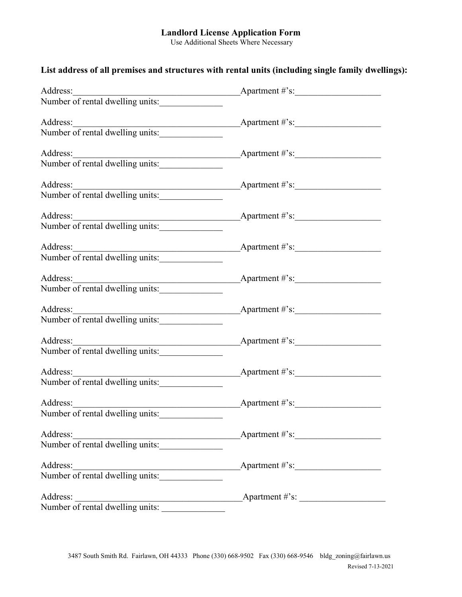# **Landlord License Application Form**

Use Additional Sheets Where Necessary

# **List address of all premises and structures with rental units (including single family dwellings):**

| Address:                                                                         | Apartment $\#$ 's:               |
|----------------------------------------------------------------------------------|----------------------------------|
| Number of rental dwelling units:                                                 |                                  |
|                                                                                  |                                  |
|                                                                                  |                                  |
|                                                                                  |                                  |
|                                                                                  |                                  |
| Address:<br>Number of rental dwelling units:<br>Number of rental dwelling units: |                                  |
|                                                                                  |                                  |
|                                                                                  |                                  |
|                                                                                  |                                  |
|                                                                                  |                                  |
| Address:<br>Number of rental dwelling units:<br>Number of rental dwelling units: |                                  |
|                                                                                  |                                  |
|                                                                                  | Apartment $\#$ 's:               |
| Address:<br>Number of rental dwelling units:                                     |                                  |
|                                                                                  |                                  |
|                                                                                  |                                  |
|                                                                                  |                                  |
|                                                                                  |                                  |
| Address:<br>Number of rental dwelling units:<br>Number of rental dwelling units: |                                  |
|                                                                                  |                                  |
| Address:                                                                         | Apartment #'s:                   |
| Number of rental dwelling units:                                                 |                                  |
|                                                                                  |                                  |
| Address:<br>Number of rental dwelling units:<br>Number of rental dwelling units: |                                  |
|                                                                                  |                                  |
| Address:                                                                         | Apartment #'s:                   |
| Number of rental dwelling units:                                                 |                                  |
|                                                                                  |                                  |
| Address:<br>Number of rental dwelling units:                                     | $\text{Apartment } # \text{'s:}$ |
|                                                                                  |                                  |
|                                                                                  |                                  |
| Address:<br>Number of rental dwelling units:<br>Number of rental dwelling units: |                                  |
|                                                                                  |                                  |
|                                                                                  |                                  |
|                                                                                  |                                  |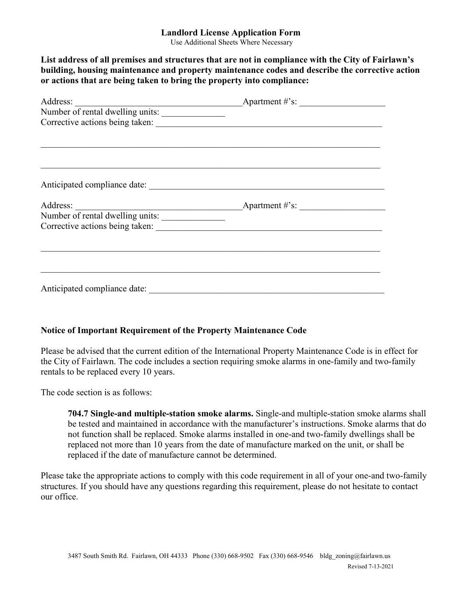## **Landlord License Application Form**

Use Additional Sheets Where Necessary

**List address of all premises and structures that are not in compliance with the City of Fairlawn's building, housing maintenance and property maintenance codes and describe the corrective action or actions that are being taken to bring the property into compliance:**

| Address:                         | $\overbrace{\text{L}}$ Apartment #'s: |  |
|----------------------------------|---------------------------------------|--|
| Number of rental dwelling units: |                                       |  |
| Corrective actions being taken:  |                                       |  |
|                                  |                                       |  |
|                                  |                                       |  |
|                                  |                                       |  |
|                                  |                                       |  |
|                                  |                                       |  |
|                                  |                                       |  |
|                                  |                                       |  |
|                                  |                                       |  |
|                                  |                                       |  |
|                                  |                                       |  |
|                                  |                                       |  |
|                                  |                                       |  |
|                                  |                                       |  |
|                                  |                                       |  |
| Anticipated compliance date:     |                                       |  |
|                                  |                                       |  |

## **Notice of Important Requirement of the Property Maintenance Code**

Please be advised that the current edition of the International Property Maintenance Code is in effect for the City of Fairlawn. The code includes a section requiring smoke alarms in one-family and two-family rentals to be replaced every 10 years.

The code section is as follows:

**704.7 Single-and multiple-station smoke alarms.** Single-and multiple-station smoke alarms shall be tested and maintained in accordance with the manufacturer's instructions. Smoke alarms that do not function shall be replaced. Smoke alarms installed in one-and two-family dwellings shall be replaced not more than 10 years from the date of manufacture marked on the unit, or shall be replaced if the date of manufacture cannot be determined.

Please take the appropriate actions to comply with this code requirement in all of your one-and two-family structures. If you should have any questions regarding this requirement, please do not hesitate to contact our office.